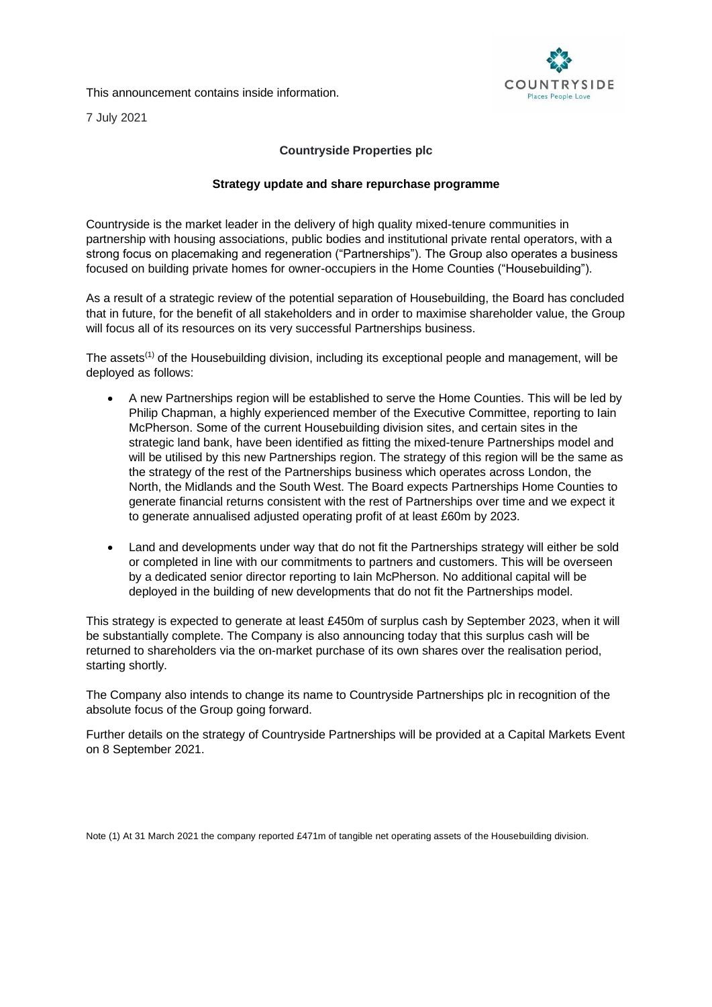This announcement contains inside information.



7 July 2021

## **Countryside Properties plc**

## **Strategy update and share repurchase programme**

Countryside is the market leader in the delivery of high quality mixed-tenure communities in partnership with housing associations, public bodies and institutional private rental operators, with a strong focus on placemaking and regeneration ("Partnerships"). The Group also operates a business focused on building private homes for owner-occupiers in the Home Counties ("Housebuilding").

As a result of a strategic review of the potential separation of Housebuilding, the Board has concluded that in future, for the benefit of all stakeholders and in order to maximise shareholder value, the Group will focus all of its resources on its very successful Partnerships business.

The assets<sup>(1)</sup> of the Housebuilding division, including its exceptional people and management, will be deployed as follows:

- A new Partnerships region will be established to serve the Home Counties. This will be led by Philip Chapman, a highly experienced member of the Executive Committee, reporting to Iain McPherson. Some of the current Housebuilding division sites, and certain sites in the strategic land bank, have been identified as fitting the mixed-tenure Partnerships model and will be utilised by this new Partnerships region. The strategy of this region will be the same as the strategy of the rest of the Partnerships business which operates across London, the North, the Midlands and the South West. The Board expects Partnerships Home Counties to generate financial returns consistent with the rest of Partnerships over time and we expect it to generate annualised adjusted operating profit of at least £60m by 2023.
- Land and developments under way that do not fit the Partnerships strategy will either be sold or completed in line with our commitments to partners and customers. This will be overseen by a dedicated senior director reporting to Iain McPherson. No additional capital will be deployed in the building of new developments that do not fit the Partnerships model.

This strategy is expected to generate at least £450m of surplus cash by September 2023, when it will be substantially complete. The Company is also announcing today that this surplus cash will be returned to shareholders via the on-market purchase of its own shares over the realisation period, starting shortly.

The Company also intends to change its name to Countryside Partnerships plc in recognition of the absolute focus of the Group going forward.

Further details on the strategy of Countryside Partnerships will be provided at a Capital Markets Event on 8 September 2021.

Note (1) At 31 March 2021 the company reported £471m of tangible net operating assets of the Housebuilding division.